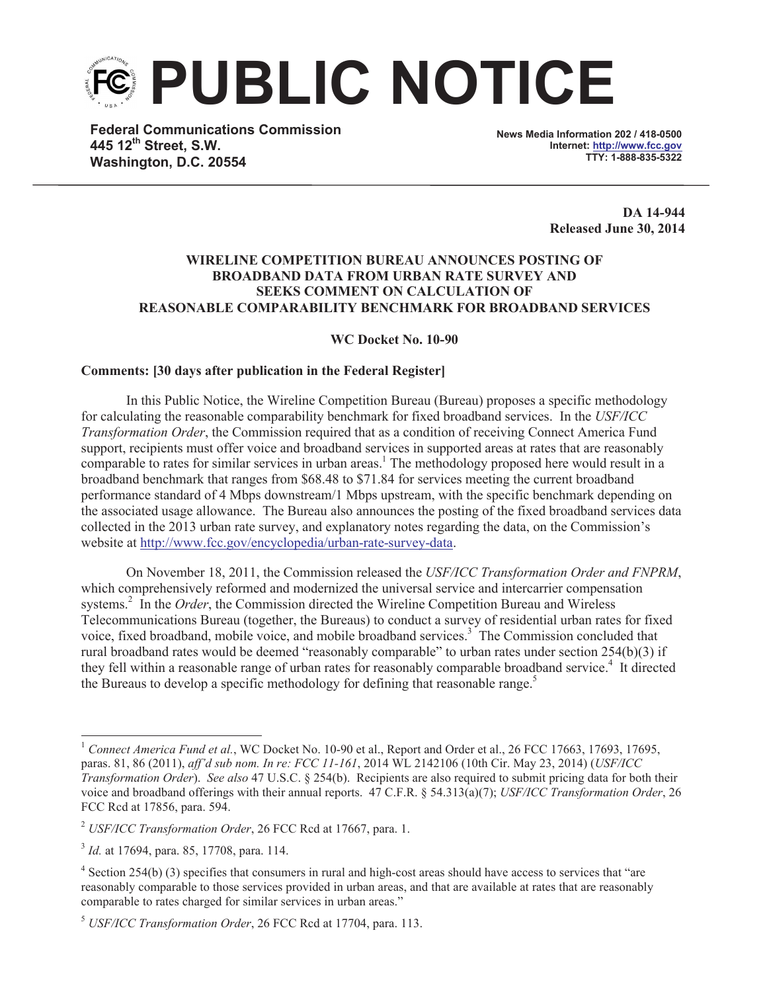**PUBLIC NOTICE**

**Federal Communications Commission 445 12th Street, S.W. Washington, D.C. 20554**

**News Media Information 202 / 418-0500 Internet: http://www.fcc.gov TTY: 1-888-835-5322**

> **DA 14-944 Released June 30, 2014**

## **WIRELINE COMPETITION BUREAU ANNOUNCES POSTING OF BROADBAND DATA FROM URBAN RATE SURVEY AND SEEKS COMMENT ON CALCULATION OF REASONABLE COMPARABILITY BENCHMARK FOR BROADBAND SERVICES**

**WC Docket No. 10-90**

## **Comments: [30 days after publication in the Federal Register]**

In this Public Notice, the Wireline Competition Bureau (Bureau) proposes a specific methodology for calculating the reasonable comparability benchmark for fixed broadband services. In the *USF/ICC Transformation Order*, the Commission required that as a condition of receiving Connect America Fund support, recipients must offer voice and broadband services in supported areas at rates that are reasonably comparable to rates for similar services in urban areas.<sup>1</sup> The methodology proposed here would result in a broadband benchmark that ranges from \$68.48 to \$71.84 for services meeting the current broadband performance standard of 4 Mbps downstream/1 Mbps upstream, with the specific benchmark depending on the associated usage allowance. The Bureau also announces the posting of the fixed broadband services data collected in the 2013 urban rate survey, and explanatory notes regarding the data, on the Commission's website at http://www.fcc.gov/encyclopedia/urban-rate-survey-data.

On November 18, 2011, the Commission released the *USF/ICC Transformation Order and FNPRM*, which comprehensively reformed and modernized the universal service and intercarrier compensation systems.<sup>2</sup> In the *Order*, the Commission directed the Wireline Competition Bureau and Wireless Telecommunications Bureau (together, the Bureaus) to conduct a survey of residential urban rates for fixed voice, fixed broadband, mobile voice, and mobile broadband services.<sup>3</sup> The Commission concluded that rural broadband rates would be deemed "reasonably comparable" to urban rates under section 254(b)(3) if they fell within a reasonable range of urban rates for reasonably comparable broadband service.<sup>4</sup> It directed the Bureaus to develop a specific methodology for defining that reasonable range.<sup>5</sup>

<sup>&</sup>lt;sup>1</sup> *Connect America Fund et al.*, WC Docket No. 10-90 et al., Report and Order et al., 26 FCC 17663, 17693, 17695, paras. 81, 86 (2011), *aff'd sub nom. In re: FCC 11-161*, 2014 WL 2142106 (10th Cir. May 23, 2014) (*USF/ICC Transformation Order*). *See also* 47 U.S.C. § 254(b). Recipients are also required to submit pricing data for both their voice and broadband offerings with their annual reports. 47 C.F.R. § 54.313(a)(7); *USF/ICC Transformation Order*, 26 FCC Rcd at 17856, para. 594.

<sup>2</sup> *USF/ICC Transformation Order*, 26 FCC Rcd at 17667, para. 1.

<sup>3</sup> *Id.* at 17694, para. 85, 17708, para. 114.

 $4$  Section 254(b) (3) specifies that consumers in rural and high-cost areas should have access to services that "are reasonably comparable to those services provided in urban areas, and that are available at rates that are reasonably comparable to rates charged for similar services in urban areas."

<sup>5</sup> *USF/ICC Transformation Order*, 26 FCC Rcd at 17704, para. 113.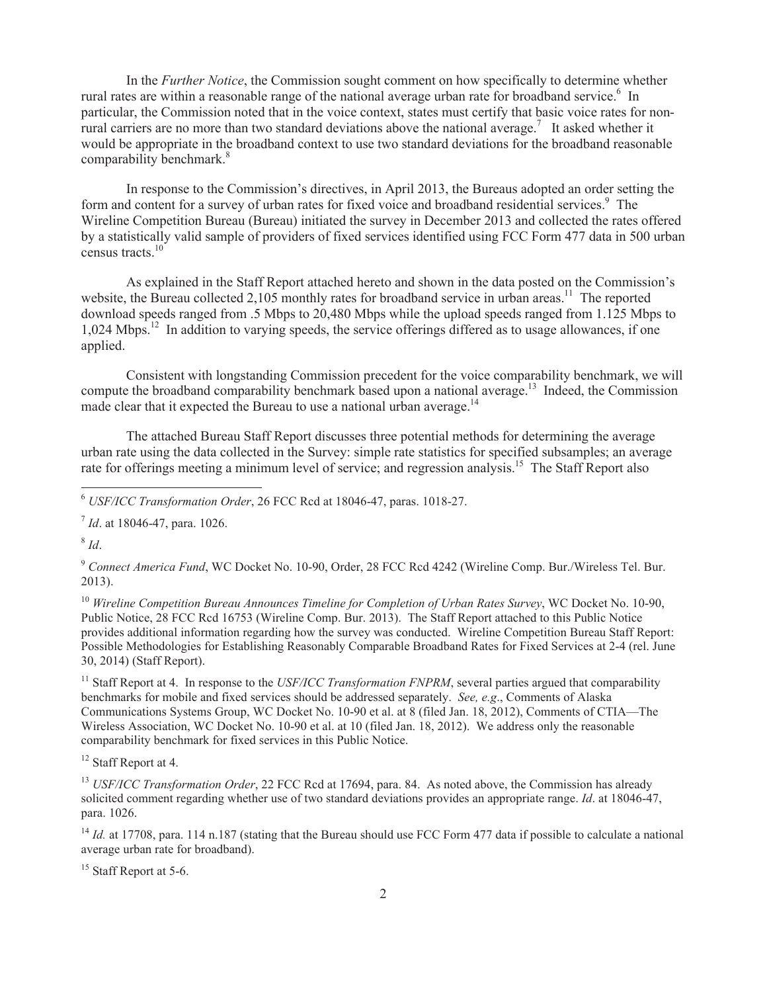In the *Further Notice*, the Commission sought comment on how specifically to determine whether rural rates are within a reasonable range of the national average urban rate for broadband service.<sup>6</sup> In particular, the Commission noted that in the voice context, states must certify that basic voice rates for nonrural carriers are no more than two standard deviations above the national average.<sup>7</sup> It asked whether it would be appropriate in the broadband context to use two standard deviations for the broadband reasonable comparability benchmark.<sup>8</sup>

In response to the Commission's directives, in April 2013, the Bureaus adopted an order setting the form and content for a survey of urban rates for fixed voice and broadband residential services.<sup>9</sup> The Wireline Competition Bureau (Bureau) initiated the survey in December 2013 and collected the rates offered by a statistically valid sample of providers of fixed services identified using FCC Form 477 data in 500 urban census tracts. $10^{10}$ 

As explained in the Staff Report attached hereto and shown in the data posted on the Commission's website, the Bureau collected 2,105 monthly rates for broadband service in urban areas.<sup>11</sup> The reported download speeds ranged from .5 Mbps to 20,480 Mbps while the upload speeds ranged from 1.125 Mbps to 1,024 Mbps.<sup>12</sup> In addition to varying speeds, the service offerings differed as to usage allowances, if one applied.

Consistent with longstanding Commission precedent for the voice comparability benchmark, we will compute the broadband comparability benchmark based upon a national average.<sup>13</sup> Indeed, the Commission made clear that it expected the Bureau to use a national urban average.<sup>14</sup>

The attached Bureau Staff Report discusses three potential methods for determining the average urban rate using the data collected in the Survey: simple rate statistics for specified subsamples; an average rate for offerings meeting a minimum level of service; and regression analysis.<sup>15</sup> The Staff Report also

8 *Id*.

<sup>9</sup> *Connect America Fund*, WC Docket No. 10-90, Order, 28 FCC Rcd 4242 (Wireline Comp. Bur./Wireless Tel. Bur. 2013).

<sup>10</sup> *Wireline Competition Bureau Announces Timeline for Completion of Urban Rates Survey*, WC Docket No. 10-90, Public Notice, 28 FCC Rcd 16753 (Wireline Comp. Bur. 2013). The Staff Report attached to this Public Notice provides additional information regarding how the survey was conducted. Wireline Competition Bureau Staff Report: Possible Methodologies for Establishing Reasonably Comparable Broadband Rates for Fixed Services at 2-4 (rel. June 30, 2014) (Staff Report).

<sup>11</sup> Staff Report at 4. In response to the *USF/ICC Transformation FNPRM*, several parties argued that comparability benchmarks for mobile and fixed services should be addressed separately. *See, e.g*., Comments of Alaska Communications Systems Group, WC Docket No. 10-90 et al. at 8 (filed Jan. 18, 2012), Comments of CTIA—The Wireless Association, WC Docket No. 10-90 et al. at 10 (filed Jan. 18, 2012). We address only the reasonable comparability benchmark for fixed services in this Public Notice.

<sup>12</sup> Staff Report at 4.

<sup>13</sup> *USF/ICC Transformation Order*, 22 FCC Rcd at 17694, para. 84. As noted above, the Commission has already solicited comment regarding whether use of two standard deviations provides an appropriate range. *Id*. at 18046-47, para. 1026.

<sup>14</sup> *Id.* at 17708, para. 114 n.187 (stating that the Bureau should use FCC Form 477 data if possible to calculate a national average urban rate for broadband).

<sup>15</sup> Staff Report at 5-6.

<sup>6</sup> *USF/ICC Transformation Order*, 26 FCC Rcd at 18046-47, paras. 1018-27.

<sup>7</sup> *Id*. at 18046-47, para. 1026.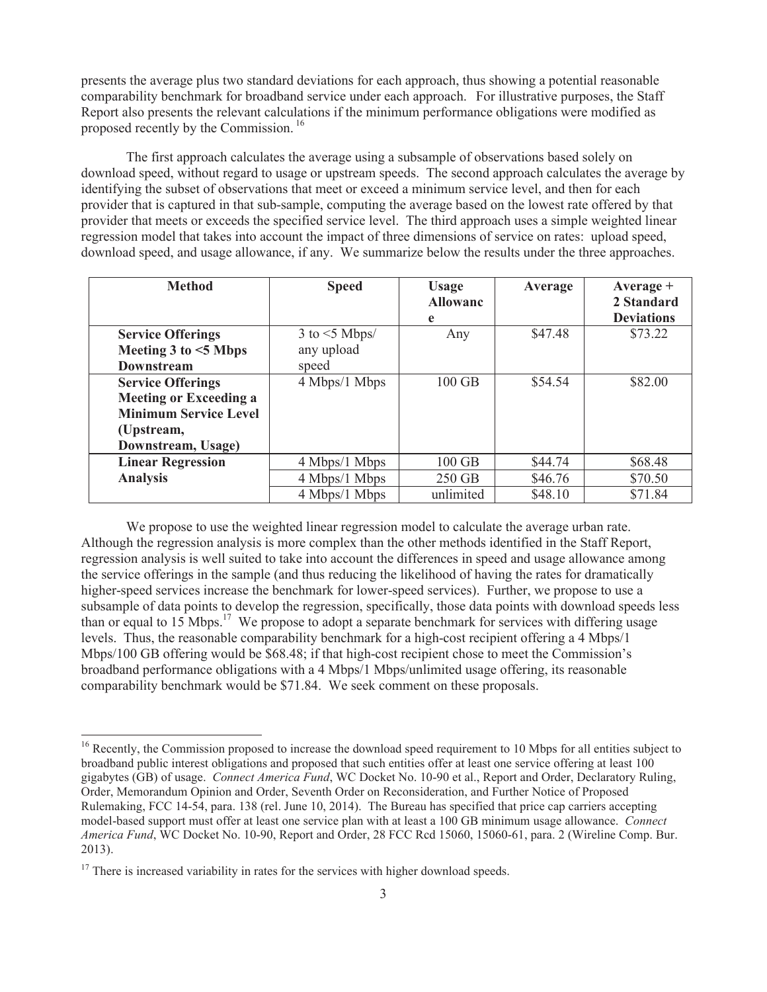presents the average plus two standard deviations for each approach, thus showing a potential reasonable comparability benchmark for broadband service under each approach. For illustrative purposes, the Staff Report also presents the relevant calculations if the minimum performance obligations were modified as proposed recently by the Commission.<sup>16</sup>

The first approach calculates the average using a subsample of observations based solely on download speed, without regard to usage or upstream speeds. The second approach calculates the average by identifying the subset of observations that meet or exceed a minimum service level, and then for each provider that is captured in that sub-sample, computing the average based on the lowest rate offered by that provider that meets or exceeds the specified service level. The third approach uses a simple weighted linear regression model that takes into account the impact of three dimensions of service on rates: upload speed, download speed, and usage allowance, if any. We summarize below the results under the three approaches.

| <b>Method</b>                                    | <b>Speed</b>                        | <b>Usage</b><br><b>Allowanc</b> | Average | Average $+$<br>2 Standard<br><b>Deviations</b> |
|--------------------------------------------------|-------------------------------------|---------------------------------|---------|------------------------------------------------|
| <b>Service Offerings</b><br>Meeting 3 to <5 Mbps | $3$ to $\leq$ 5 Mbps/<br>any upload | e<br>Any                        | \$47.48 | \$73.22                                        |
| <b>Downstream</b>                                | speed                               |                                 |         |                                                |
| <b>Service Offerings</b>                         | 4 Mbps/1 Mbps                       | $100$ GB                        | \$54.54 | \$82.00                                        |
| <b>Meeting or Exceeding a</b>                    |                                     |                                 |         |                                                |
| <b>Minimum Service Level</b>                     |                                     |                                 |         |                                                |
| (Upstream,                                       |                                     |                                 |         |                                                |
| Downstream, Usage)                               |                                     |                                 |         |                                                |
| <b>Linear Regression</b>                         | 4 Mbps/1 Mbps                       | $100$ GB                        | \$44.74 | \$68.48                                        |
| <b>Analysis</b>                                  | 4 Mbps/1 Mbps                       | 250 GB                          | \$46.76 | \$70.50                                        |
|                                                  | 4 Mbps/1 Mbps                       | unlimited                       | \$48.10 | \$71.84                                        |

We propose to use the weighted linear regression model to calculate the average urban rate. Although the regression analysis is more complex than the other methods identified in the Staff Report, regression analysis is well suited to take into account the differences in speed and usage allowance among the service offerings in the sample (and thus reducing the likelihood of having the rates for dramatically higher-speed services increase the benchmark for lower-speed services). Further, we propose to use a subsample of data points to develop the regression, specifically, those data points with download speeds less than or equal to  $15 \text{ Mbps}$ .<sup>17</sup> We propose to adopt a separate benchmark for services with differing usage levels. Thus, the reasonable comparability benchmark for a high-cost recipient offering a 4 Mbps/1 Mbps/100 GB offering would be \$68.48; if that high-cost recipient chose to meet the Commission's broadband performance obligations with a 4 Mbps/1 Mbps/unlimited usage offering, its reasonable comparability benchmark would be \$71.84. We seek comment on these proposals.

 $16$  Recently, the Commission proposed to increase the download speed requirement to 10 Mbps for all entities subject to broadband public interest obligations and proposed that such entities offer at least one service offering at least 100 gigabytes (GB) of usage. *Connect America Fund*, WC Docket No. 10-90 et al., Report and Order, Declaratory Ruling, Order, Memorandum Opinion and Order, Seventh Order on Reconsideration, and Further Notice of Proposed Rulemaking, FCC 14-54, para. 138 (rel. June 10, 2014). The Bureau has specified that price cap carriers accepting model-based support must offer at least one service plan with at least a 100 GB minimum usage allowance. *Connect America Fund*, WC Docket No. 10-90, Report and Order, 28 FCC Rcd 15060, 15060-61, para. 2 (Wireline Comp. Bur. 2013).

 $17$  There is increased variability in rates for the services with higher download speeds.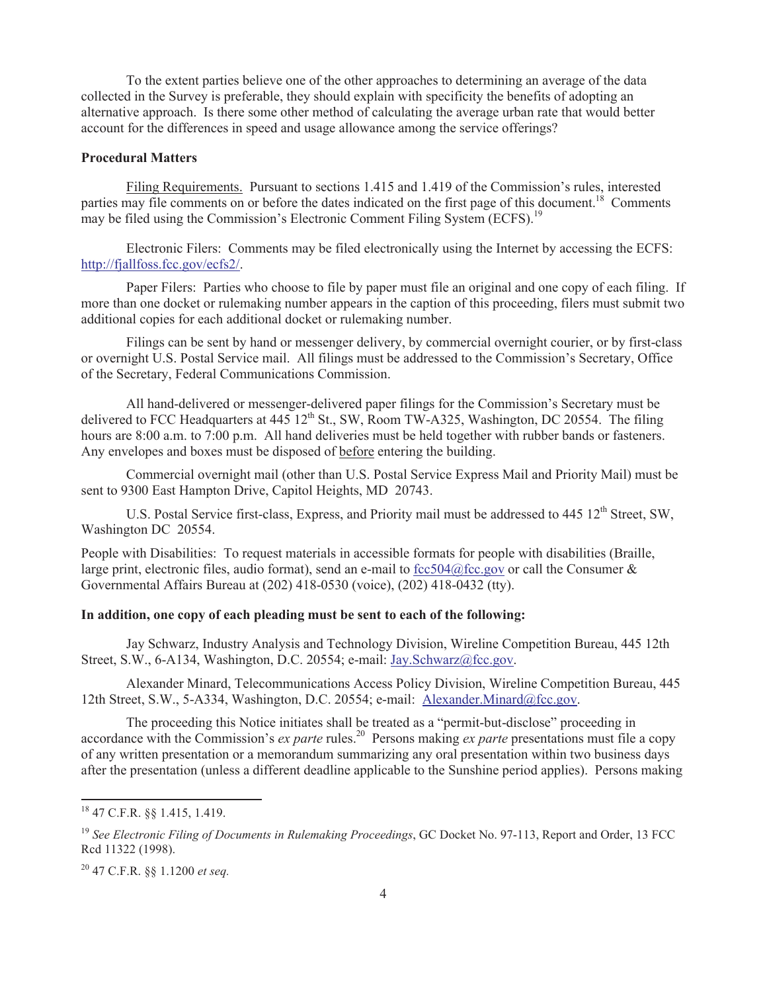To the extent parties believe one of the other approaches to determining an average of the data collected in the Survey is preferable, they should explain with specificity the benefits of adopting an alternative approach. Is there some other method of calculating the average urban rate that would better account for the differences in speed and usage allowance among the service offerings?

## **Procedural Matters**

Filing Requirements. Pursuant to sections 1.415 and 1.419 of the Commission's rules, interested parties may file comments on or before the dates indicated on the first page of this document.<sup>18</sup> Comments may be filed using the Commission's Electronic Comment Filing System (ECFS).<sup>19</sup>

Electronic Filers: Comments may be filed electronically using the Internet by accessing the ECFS: http://fjallfoss.fcc.gov/ecfs2/.

Paper Filers: Parties who choose to file by paper must file an original and one copy of each filing. If more than one docket or rulemaking number appears in the caption of this proceeding, filers must submit two additional copies for each additional docket or rulemaking number.

Filings can be sent by hand or messenger delivery, by commercial overnight courier, or by first-class or overnight U.S. Postal Service mail. All filings must be addressed to the Commission's Secretary, Office of the Secretary, Federal Communications Commission.

All hand-delivered or messenger-delivered paper filings for the Commission's Secretary must be delivered to FCC Headquarters at  $445 \frac{12^{th}}{12}$  St., SW, Room TW-A325, Washington, DC 20554. The filing hours are 8:00 a.m. to 7:00 p.m. All hand deliveries must be held together with rubber bands or fasteners. Any envelopes and boxes must be disposed of before entering the building.

Commercial overnight mail (other than U.S. Postal Service Express Mail and Priority Mail) must be sent to 9300 East Hampton Drive, Capitol Heights, MD 20743.

U.S. Postal Service first-class, Express, and Priority mail must be addressed to 445 12<sup>th</sup> Street, SW, Washington DC 20554.

People with Disabilities: To request materials in accessible formats for people with disabilities (Braille, large print, electronic files, audio format), send an e-mail to  $fcc504@$  fcc.gov or call the Consumer & Governmental Affairs Bureau at (202) 418-0530 (voice), (202) 418-0432 (tty).

## **In addition, one copy of each pleading must be sent to each of the following:**

Jay Schwarz, Industry Analysis and Technology Division, Wireline Competition Bureau, 445 12th Street, S.W., 6-A134, Washington, D.C. 20554; e-mail: Jay.Schwarz@fcc.gov.

Alexander Minard, Telecommunications Access Policy Division, Wireline Competition Bureau, 445 12th Street, S.W., 5-A334, Washington, D.C. 20554; e-mail: Alexander.Minard@fcc.gov.

The proceeding this Notice initiates shall be treated as a "permit-but-disclose" proceeding in accordance with the Commission's *ex parte* rules.<sup>20</sup> Persons making *ex parte* presentations must file a copy of any written presentation or a memorandum summarizing any oral presentation within two business days after the presentation (unless a different deadline applicable to the Sunshine period applies). Persons making

<sup>18</sup> 47 C.F.R. §§ 1.415, 1.419.

<sup>&</sup>lt;sup>19</sup> See Electronic Filing of Documents in Rulemaking Proceedings, GC Docket No. 97-113, Report and Order, 13 FCC Rcd 11322 (1998).

<sup>20</sup> 47 C.F.R. §§ 1.1200 *et seq.*